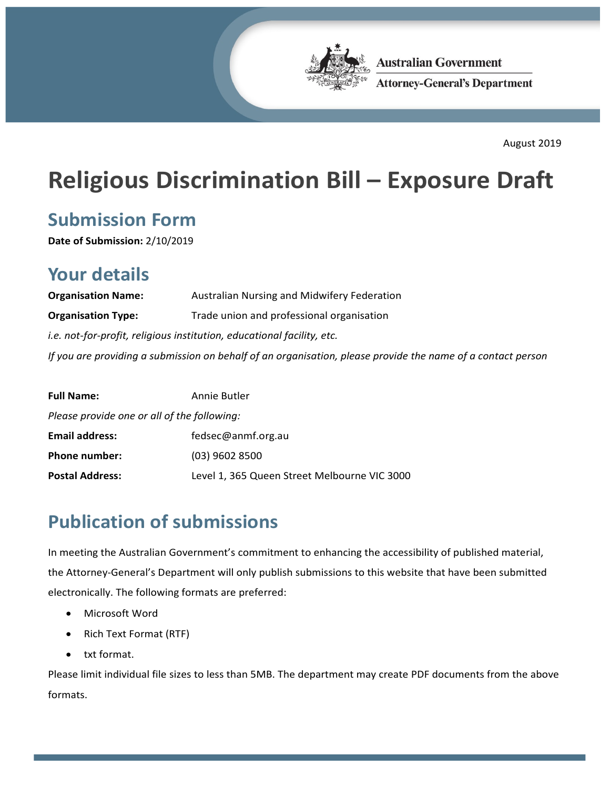

**Australian Government Attorney-General's Department** 

August 2019

# **Religious Discrimination Bill – Exposure Draft**

### **Submission Form**

**Date of Submission:** 2/10/2019

### **Your details**

| <b>Organisation Name:</b>                                                                                   | Australian Nursing and Midwifery Federation |
|-------------------------------------------------------------------------------------------------------------|---------------------------------------------|
| <b>Organisation Type:</b>                                                                                   | Trade union and professional organisation   |
| <i>i.e.</i> not-for-profit, religious institution, educational facility, etc.                               |                                             |
| If you are providing a submission on behalf of an organisation, please provide the name of a contact person |                                             |

| <b>Full Name:</b>                           | Annie Butler                                 |
|---------------------------------------------|----------------------------------------------|
| Please provide one or all of the following: |                                              |
| <b>Email address:</b>                       | fedsec@anmf.org.au                           |
| <b>Phone number:</b>                        | $(03)$ 9602 8500                             |
| <b>Postal Address:</b>                      | Level 1, 365 Queen Street Melbourne VIC 3000 |

### **Publication of submissions**

In meeting the Australian Government's commitment to enhancing the accessibility of published material, the Attorney-General's Department will only publish submissions to this website that have been submitted electronically. The following formats are preferred:

- Microsoft Word
- Rich Text Format (RTF)
- txt format.

Please limit individual file sizes to less than 5MB. The department may create PDF documents from the above formats.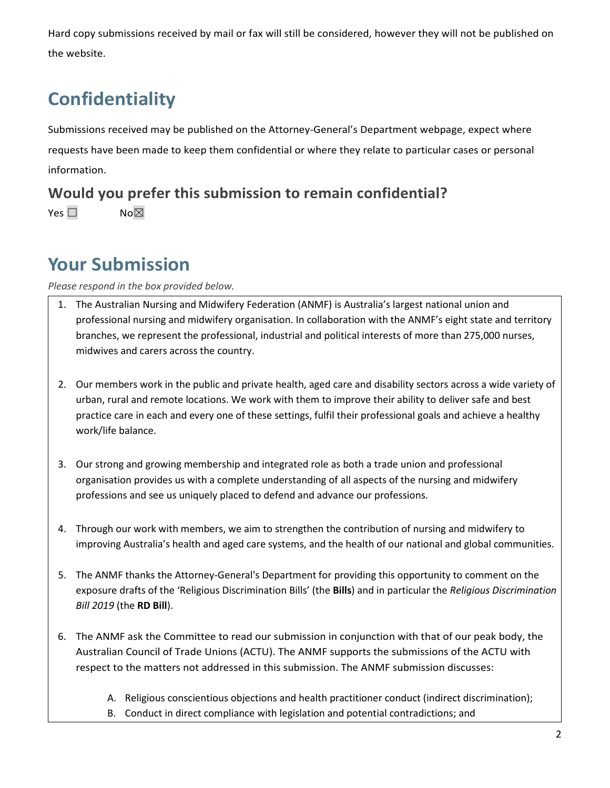Hard copy submissions received by mail or fax will still be considered, however they will not be published on the website.

## **Confidentiality**

Submissions received may be published on the Attorney-General's Department webpage, expect where requests have been made to keep them confidential or where they relate to particular cases or personal information.

**Would you prefer this submission to remain confidential?**  Yes □ No⊠

### **Your Submission**

*Please respond in the box provided below.*

- 1. The Australian Nursing and Midwifery Federation (ANMF) is Australia's largest national union and professional nursing and midwifery organisation. In collaboration with the ANMF's eight state and territory branches, we represent the professional, industrial and political interests of more than 275,000 nurses, midwives and carers across the country.
- 2. Our members work in the public and private health, aged care and disability sectors across a wide variety of urban, rural and remote locations. We work with them to improve their ability to deliver safe and best practice care in each and every one of these settings, fulfil their professional goals and achieve a healthy work/life balance.
- 3. Our strong and growing membership and integrated role as both a trade union and professional organisation provides us with a complete understanding of all aspects of the nursing and midwifery professions and see us uniquely placed to defend and advance our professions.
- 4. Through our work with members, we aim to strengthen the contribution of nursing and midwifery to improving Australia's health and aged care systems, and the health of our national and global communities.
- 5. The ANMF thanks the Attorney-General's Department for providing this opportunity to comment on the exposure drafts of the 'Religious Discrimination Bills' (the **Bills**) and in particular the *Religious Discrimination Bill 2019* (the **RD Bill**).
- 6. The ANMF ask the Committee to read our submission in conjunction with that of our peak body, the Australian Council of Trade Unions (ACTU). The ANMF supports the submissions of the ACTU with respect to the matters not addressed in this submission. The ANMF submission discusses:
	- A. Religious conscientious objections and health practitioner conduct (indirect discrimination);
	- B. Conduct in direct compliance with legislation and potential contradictions; and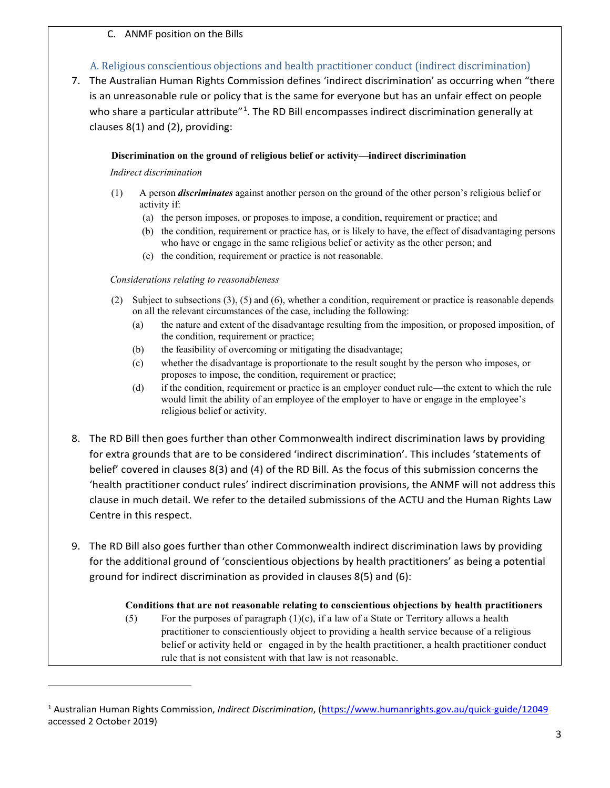#### C. ANMF position on the Bills

#### A. Religious conscientious objections and health practitioner conduct (indirect discrimination)

7. The Australian Human Rights Commission defines 'indirect discrimination' as occurring when "there is an unreasonable rule or policy that is the same for everyone but has an unfair effect on people who share a particular attribute<sup>"[1](#page-2-0)</sup>. The RD Bill encompasses indirect discrimination generally at clauses 8(1) and (2), providing:

#### **Discrimination on the ground of religious belief or activity—indirect discrimination**

#### *Indirect discrimination*

1

- (1) A person *discriminates* against another person on the ground of the other person's religious belief or activity if:
	- (a) the person imposes, or proposes to impose, a condition, requirement or practice; and
	- (b) the condition, requirement or practice has, or is likely to have, the effect of disadvantaging persons who have or engage in the same religious belief or activity as the other person; and
	- (c) the condition, requirement or practice is not reasonable.

#### *Considerations relating to reasonableness*

- (2) Subject to subsections (3), (5) and (6), whether a condition, requirement or practice is reasonable depends on all the relevant circumstances of the case, including the following:
	- (a) the nature and extent of the disadvantage resulting from the imposition, or proposed imposition, of the condition, requirement or practice;
	- (b) the feasibility of overcoming or mitigating the disadvantage;
	- (c) whether the disadvantage is proportionate to the result sought by the person who imposes, or proposes to impose, the condition, requirement or practice;
	- (d) if the condition, requirement or practice is an employer conduct rule—the extent to which the rule would limit the ability of an employee of the employer to have or engage in the employee's religious belief or activity.
- 8. The RD Bill then goes further than other Commonwealth indirect discrimination laws by providing for extra grounds that are to be considered 'indirect discrimination'. This includes 'statements of belief' covered in clauses 8(3) and (4) of the RD Bill. As the focus of this submission concerns the 'health practitioner conduct rules' indirect discrimination provisions, the ANMF will not address this clause in much detail. We refer to the detailed submissions of the ACTU and the Human Rights Law Centre in this respect.
- 9. The RD Bill also goes further than other Commonwealth indirect discrimination laws by providing for the additional ground of 'conscientious objections by health practitioners' as being a potential ground for indirect discrimination as provided in clauses 8(5) and (6):

#### **Conditions that are not reasonable relating to conscientious objections by health practitioners**

(5) For the purposes of paragraph  $(1)(c)$ , if a law of a State or Territory allows a health practitioner to conscientiously object to providing a health service because of a religious belief or activity held or engaged in by the health practitioner, a health practitioner conduct rule that is not consistent with that law is not reasonable.

<span id="page-2-0"></span><sup>1</sup> Australian Human Rights Commission, *Indirect Discrimination*, [\(https://www.humanrights.gov.au/quick-guide/12049](https://www.humanrights.gov.au/quick-guide/12049) accessed 2 October 2019)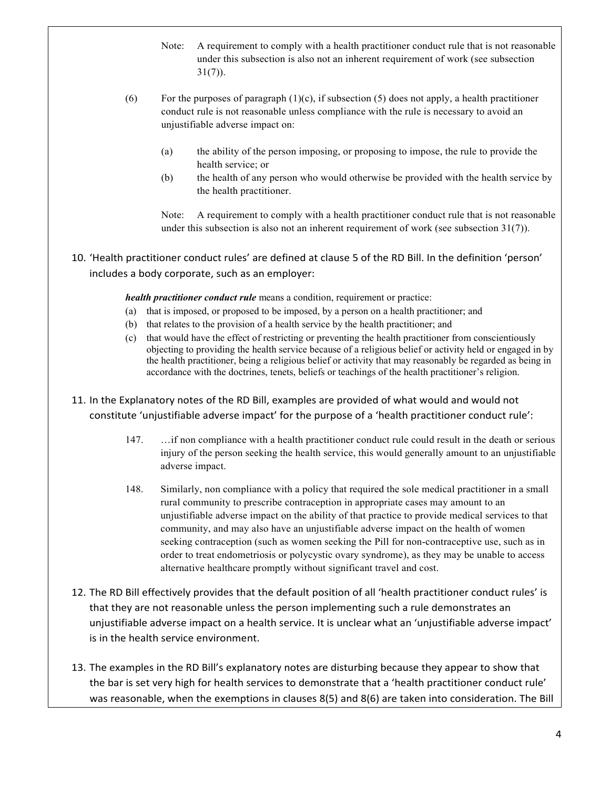- Note: A requirement to comply with a health practitioner conduct rule that is not reasonable under this subsection is also not an inherent requirement of work (see subsection  $31(7)$ ).
- (6) For the purposes of paragraph  $(1)(c)$ , if subsection (5) does not apply, a health practitioner conduct rule is not reasonable unless compliance with the rule is necessary to avoid an unjustifiable adverse impact on:
	- (a) the ability of the person imposing, or proposing to impose, the rule to provide the health service; or
	- (b) the health of any person who would otherwise be provided with the health service by the health practitioner.

Note: A requirement to comply with a health practitioner conduct rule that is not reasonable under this subsection is also not an inherent requirement of work (see subsection 31(7)).

10. 'Health practitioner conduct rules' are defined at clause 5 of the RD Bill. In the definition 'person' includes a body corporate, such as an employer:

*health practitioner conduct rule* means a condition, requirement or practice:

- (a) that is imposed, or proposed to be imposed, by a person on a health practitioner; and
- (b) that relates to the provision of a health service by the health practitioner; and
- (c) that would have the effect of restricting or preventing the health practitioner from conscientiously objecting to providing the health service because of a religious belief or activity held or engaged in by the health practitioner, being a religious belief or activity that may reasonably be regarded as being in accordance with the doctrines, tenets, beliefs or teachings of the health practitioner's religion.
- 11. In the Explanatory notes of the RD Bill, examples are provided of what would and would not constitute 'unjustifiable adverse impact' for the purpose of a 'health practitioner conduct rule':
	- 147. …if non compliance with a health practitioner conduct rule could result in the death or serious injury of the person seeking the health service, this would generally amount to an unjustifiable adverse impact.
	- 148. Similarly, non compliance with a policy that required the sole medical practitioner in a small rural community to prescribe contraception in appropriate cases may amount to an unjustifiable adverse impact on the ability of that practice to provide medical services to that community, and may also have an unjustifiable adverse impact on the health of women seeking contraception (such as women seeking the Pill for non-contraceptive use, such as in order to treat endometriosis or polycystic ovary syndrome), as they may be unable to access alternative healthcare promptly without significant travel and cost.
- 12. The RD Bill effectively provides that the default position of all 'health practitioner conduct rules' is that they are not reasonable unless the person implementing such a rule demonstrates an unjustifiable adverse impact on a health service. It is unclear what an 'unjustifiable adverse impact' is in the health service environment.
- 13. The examples in the RD Bill's explanatory notes are disturbing because they appear to show that the bar is set very high for health services to demonstrate that a 'health practitioner conduct rule' was reasonable, when the exemptions in clauses 8(5) and 8(6) are taken into consideration. The Bill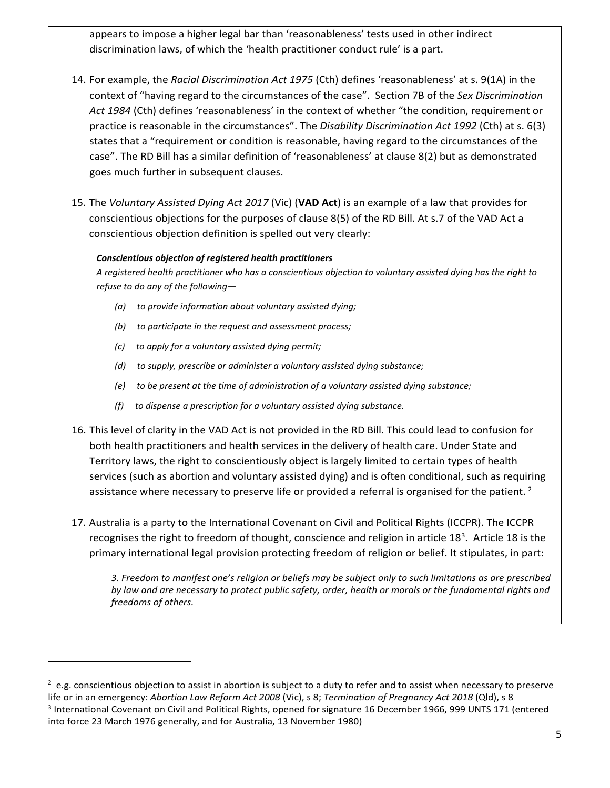appears to impose a higher legal bar than 'reasonableness' tests used in other indirect discrimination laws, of which the 'health practitioner conduct rule' is a part.

- 14. For example, the *Racial Discrimination Act 1975* (Cth) defines 'reasonableness' at s. 9(1A) in the context of "having regard to the circumstances of the case". Section 7B of the *Sex Discrimination Act 1984* (Cth) defines 'reasonableness' in the context of whether "the condition, requirement or practice is reasonable in the circumstances". The *Disability Discrimination Act 1992* (Cth) at s. 6(3) states that a "requirement or condition is reasonable, having regard to the circumstances of the case". The RD Bill has a similar definition of 'reasonableness' at clause 8(2) but as demonstrated goes much further in subsequent clauses.
- 15. The *Voluntary Assisted Dying Act 2017* (Vic) (**VAD Act**) is an example of a law that provides for conscientious objections for the purposes of clause 8(5) of the RD Bill. At s.7 of the VAD Act a conscientious objection definition is spelled out very clearly:

#### *Conscientious objection of registered health practitioners*

*A registered health practitioner who has a conscientious objection to voluntary assisted dying has the right to refuse to do any of the following—*

- *(a) to provide information about voluntary assisted dying;*
- *(b) to participate in the request and assessment process;*
- *(c) to apply for a voluntary assisted dying permit;*

 $\overline{a}$ 

- *(d) to supply, prescribe or administer a voluntary assisted dying substance;*
- *(e) to be present at the time of administration of a voluntary assisted dying substance;*
- *(f) to dispense a prescription for a voluntary assisted dying substance.*
- 16. This level of clarity in the VAD Act is not provided in the RD Bill. This could lead to confusion for both health practitioners and health services in the delivery of health care. Under State and Territory laws, the right to conscientiously object is largely limited to certain types of health services (such as abortion and voluntary assisted dying) and is often conditional, such as requiring assistance where necessary to preserve life or provided a referral is organised for the patient.  $2$
- 17. Australia is a party to the International Covenant on Civil and Political Rights (ICCPR). The ICCPR recognises the right to freedom of thought, conscience and religion in article  $18<sup>3</sup>$  $18<sup>3</sup>$  $18<sup>3</sup>$ . Article 18 is the primary international legal provision protecting freedom of religion or belief. It stipulates, in part:

*3. Freedom to manifest one's religion or beliefs may be subject only to such limitations as are prescribed by law and are necessary to protect public safety, order, health or morals or the fundamental rights and freedoms of others.*

<span id="page-4-1"></span><span id="page-4-0"></span> $2$  e.g. conscientious objection to assist in abortion is subject to a duty to refer and to assist when necessary to preserve life or in an emergency: *Abortion Law Reform Act 2008* (Vic), s 8; *Termination of Pregnancy Act 2018* (Qld), s 8 <sup>3</sup> International Covenant on Civil and Political Rights, opened for signature 16 December 1966, 999 UNTS 171 (entered into force 23 March 1976 generally, and for Australia, 13 November 1980)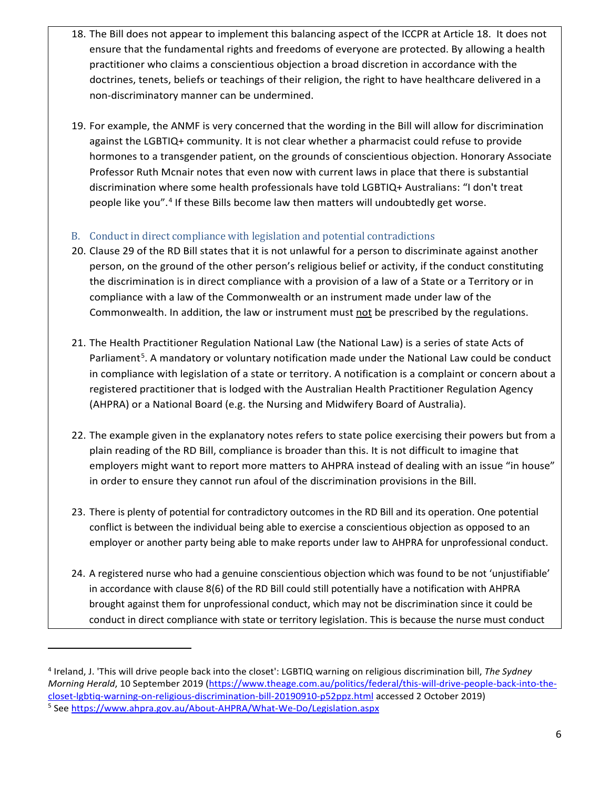- 18. The Bill does not appear to implement this balancing aspect of the ICCPR at Article 18. It does not ensure that the fundamental rights and freedoms of everyone are protected. By allowing a health practitioner who claims a conscientious objection a broad discretion in accordance with the doctrines, tenets, beliefs or teachings of their religion, the right to have healthcare delivered in a non-discriminatory manner can be undermined.
- 19. For example, the ANMF is very concerned that the wording in the Bill will allow for discrimination against the LGBTIQ+ community. It is not clear whether a pharmacist could refuse to provide hormones to a transgender patient, on the grounds of conscientious objection. Honorary Associate Professor Ruth Mcnair notes that even now with current laws in place that there is substantial discrimination where some health professionals have told LGBTIQ+ Australians: "I don't treat people like you". [4](#page-5-0) If these Bills become law then matters will undoubtedly get worse.

#### B. Conduct in direct compliance with legislation and potential contradictions

- 20. Clause 29 of the RD Bill states that it is not unlawful for a person to discriminate against another person, on the ground of the other person's religious belief or activity, if the conduct constituting the discrimination is in direct compliance with a provision of a law of a State or a Territory or in compliance with a law of the Commonwealth or an instrument made under law of the Commonwealth. In addition, the law or instrument must not be prescribed by the regulations.
- 21. The Health Practitioner Regulation National Law (the National Law) is a series of state Acts of Parliament<sup>[5](#page-5-1)</sup>. A mandatory or voluntary notification made under the National Law could be conduct in compliance with legislation of a state or territory. A notification is a complaint or concern about a registered practitioner that is lodged with the Australian Health Practitioner Regulation Agency (AHPRA) or a National Board (e.g. the Nursing and Midwifery Board of Australia).
- 22. The example given in the explanatory notes refers to state police exercising their powers but from a plain reading of the RD Bill, compliance is broader than this. It is not difficult to imagine that employers might want to report more matters to AHPRA instead of dealing with an issue "in house" in order to ensure they cannot run afoul of the discrimination provisions in the Bill.
- 23. There is plenty of potential for contradictory outcomes in the RD Bill and its operation. One potential conflict is between the individual being able to exercise a conscientious objection as opposed to an employer or another party being able to make reports under law to AHPRA for unprofessional conduct.
- 24. A registered nurse who had a genuine conscientious objection which was found to be not 'unjustifiable' in accordance with clause 8(6) of the RD Bill could still potentially have a notification with AHPRA brought against them for unprofessional conduct, which may not be discrimination since it could be conduct in direct compliance with state or territory legislation. This is because the nurse must conduct

 $\overline{a}$ 

<span id="page-5-1"></span><span id="page-5-0"></span><sup>4</sup> Ireland, J. 'This will drive people back into the closet': LGBTIQ warning on religious discrimination bill, *The Sydney Morning Herald*, 10 September 2019 [\(https://www.theage.com.au/politics/federal/this-will-drive-people-back-into-the](https://www.theage.com.au/politics/federal/this-will-drive-people-back-into-the-closet-lgbtiq-warning-on-religious-discrimination-bill-20190910-p52ppz.html)[closet-lgbtiq-warning-on-religious-discrimination-bill-20190910-p52ppz.html](https://www.theage.com.au/politics/federal/this-will-drive-people-back-into-the-closet-lgbtiq-warning-on-religious-discrimination-bill-20190910-p52ppz.html) accessed 2 October 2019) <sup>5</sup> Se[e https://www.ahpra.gov.au/About-AHPRA/What-We-Do/Legislation.aspx](https://www.ahpra.gov.au/About-AHPRA/What-We-Do/Legislation.aspx)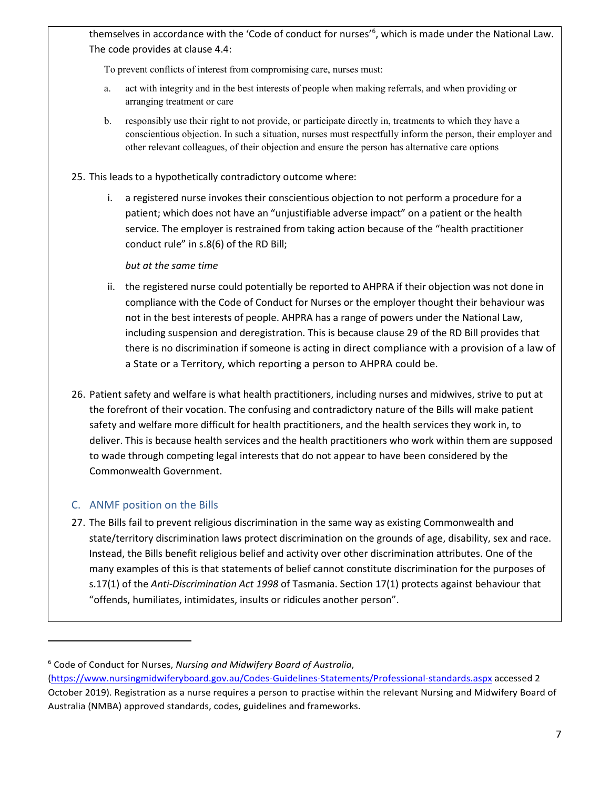themselves in accordance with the 'Code of conduct for nurses'<sup>[6](#page-6-0)</sup>, which is made under the National Law. The code provides at clause 4.4:

To prevent conflicts of interest from compromising care, nurses must:

- a. act with integrity and in the best interests of people when making referrals, and when providing or arranging treatment or care
- b. responsibly use their right to not provide, or participate directly in, treatments to which they have a conscientious objection. In such a situation, nurses must respectfully inform the person, their employer and other relevant colleagues, of their objection and ensure the person has alternative care options
- 25. This leads to a hypothetically contradictory outcome where:
	- i. a registered nurse invokes their conscientious objection to not perform a procedure for a patient; which does not have an "unjustifiable adverse impact" on a patient or the health service. The employer is restrained from taking action because of the "health practitioner conduct rule" in s.8(6) of the RD Bill;

#### *but at the same time*

- ii. the registered nurse could potentially be reported to AHPRA if their objection was not done in compliance with the Code of Conduct for Nurses or the employer thought their behaviour was not in the best interests of people. AHPRA has a range of powers under the National Law, including suspension and deregistration. This is because clause 29 of the RD Bill provides that there is no discrimination if someone is acting in direct compliance with a provision of a law of a State or a Territory, which reporting a person to AHPRA could be.
- 26. Patient safety and welfare is what health practitioners, including nurses and midwives, strive to put at the forefront of their vocation. The confusing and contradictory nature of the Bills will make patient safety and welfare more difficult for health practitioners, and the health services they work in, to deliver. This is because health services and the health practitioners who work within them are supposed to wade through competing legal interests that do not appear to have been considered by the Commonwealth Government.

#### C. ANMF position on the Bills

1

27. The Bills fail to prevent religious discrimination in the same way as existing Commonwealth and state/territory discrimination laws protect discrimination on the grounds of age, disability, sex and race. Instead, the Bills benefit religious belief and activity over other discrimination attributes. One of the many examples of this is that statements of belief cannot constitute discrimination for the purposes of s.17(1) of the *Anti-Discrimination Act 1998* of Tasmania. Section 17(1) protects against behaviour that "offends, humiliates, intimidates, insults or ridicules another person".

<span id="page-6-0"></span><sup>6</sup> Code of Conduct for Nurses, *Nursing and Midwifery Board of Australia*,

[<sup>\(</sup>https://www.nursingmidwiferyboard.gov.au/Codes-Guidelines-Statements/Professional-standards.aspx](https://www.nursingmidwiferyboard.gov.au/Codes-Guidelines-Statements/Professional-standards.aspx) accessed 2 October 2019). Registration as a nurse requires a person to practise within the relevant Nursing and Midwifery Board of Australia (NMBA) approved standards, codes, guidelines and frameworks.